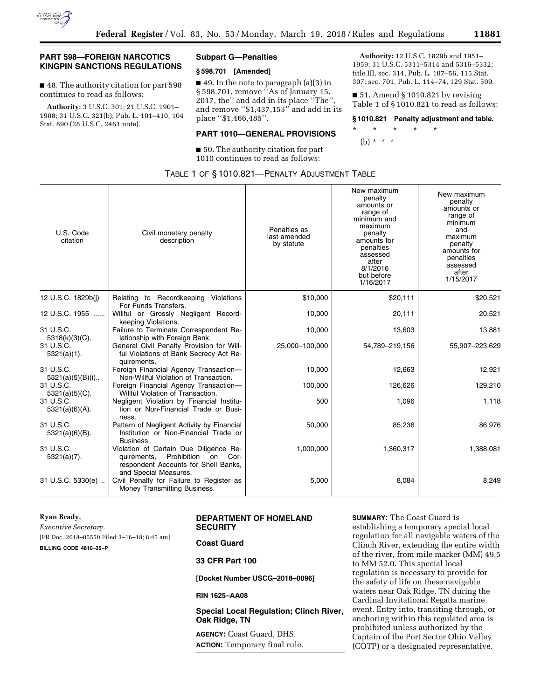

# **PART 598—FOREIGN NARCOTICS KINGPIN SANCTIONS REGULATIONS**

■ 48. The authority citation for part 598 continues to read as follows:

**Authority:** 3 U.S.C. 301; 21 U.S.C. 1901– 1908; 31 U.S.C. 321(b); Pub. L. 101–410, 104 Stat. 890 (28 U.S.C. 2461 note).

### **Subpart G—Penalties**

#### **§ 598.701 [Amended]**

■ 49. In the note to paragraph (a)(3) in § 598.701, remove ''As of January 15, 2017, the'' and add in its place ''The'', and remove ''\$1,437,153'' and add in its place ''\$1,466,485''.

#### **PART 1010—GENERAL PROVISIONS**

■ 50. The authority citation for part 1010 continues to read as follows:

**Authority:** 12 U.S.C. 1829b and 1951– 1959; 31 U.S.C. 5311–5314 and 5316–5332; title III, sec. 314, Pub. L. 107–56, 115 Stat. 307; sec. 701. Pub. L. 114–74, 129 Stat. 599.

 $\blacksquare$  51. Amend § 1010.821 by revising Table 1 of § 1010.821 to read as follows:

#### **§ 1010.821 Penalty adjustment and table.**

\* \* \* \* \*

(b) \* \* \*

|  |  |  |  | TABLE 1 OF §1010.821-PENALTY ADJUSTMENT TABLE |  |
|--|--|--|--|-----------------------------------------------|--|
|--|--|--|--|-----------------------------------------------|--|

| U.S. Code<br>citation           | Civil monetary penalty<br>description                                                                                                               | Penalties as<br>last amended<br>by statute | New maximum<br>penalty<br>amounts or<br>range of<br>minimum and<br>maximum<br>penalty<br>amounts for<br>penalties<br>assessed<br>after<br>8/1/2016<br>but before<br>1/16/2017 | New maximum<br>penalty<br>amounts or<br>range of<br>minimum<br>and<br>maximum<br>penalty<br>amounts for<br>penalties<br>assessed<br>after<br>1/15/2017 |
|---------------------------------|-----------------------------------------------------------------------------------------------------------------------------------------------------|--------------------------------------------|-------------------------------------------------------------------------------------------------------------------------------------------------------------------------------|--------------------------------------------------------------------------------------------------------------------------------------------------------|
| 12 U.S.C. 1829b(j)              | Relating to Recordkeeping Violations<br>For Funds Transfers.                                                                                        | \$10,000                                   | \$20,111                                                                                                                                                                      | \$20,521                                                                                                                                               |
| 12 U.S.C. 1955                  | Willful or Grossly Negligent Record-<br>keeping Violations.                                                                                         | 10,000                                     | 20,111                                                                                                                                                                        | 20,521                                                                                                                                                 |
| 31 U.S.C.<br>$5318(k)(3)(C)$ .  | Failure to Terminate Correspondent Re-<br>lationship with Foreign Bank.                                                                             | 10,000                                     | 13,603                                                                                                                                                                        | 13,881                                                                                                                                                 |
| 31 U.S.C.<br>$5321(a)(1)$ .     | General Civil Penalty Provision for Will-<br>ful Violations of Bank Secrecy Act Re-<br>quirements.                                                  | 25,000-100,000                             | 54,789-219,156                                                                                                                                                                | 55,907-223,629                                                                                                                                         |
| 31 U.S.C.<br>$5321(a)(5)(B)(i)$ | Foreign Financial Agency Transaction-<br>Non-Willful Violation of Transaction.                                                                      | 10,000                                     | 12,663                                                                                                                                                                        | 12,921                                                                                                                                                 |
| 31 U.S.C.<br>$5321(a)(5)(C)$ .  | Foreign Financial Agency Transaction-<br>Willful Violation of Transaction.                                                                          | 100,000                                    | 126,626                                                                                                                                                                       | 129,210                                                                                                                                                |
| 31 U.S.C.<br>$5321(a)(6)(A)$ .  | Negligent Violation by Financial Institu-<br>tion or Non-Financial Trade or Busi-<br>ness.                                                          | 500                                        | 1,096                                                                                                                                                                         | 1,118                                                                                                                                                  |
| 31 U.S.C.<br>$5321(a)(6)(B)$ .  | Pattern of Negligent Activity by Financial<br>Institution or Non-Financial Trade or<br>Business.                                                    | 50,000                                     | 85,236                                                                                                                                                                        | 86,976                                                                                                                                                 |
| 31 U.S.C.<br>$5321(a)(7)$ .     | Violation of Certain Due Diligence Re-<br>Prohibition<br>Cor-<br>quirements,<br>on<br>respondent Accounts for Shell Banks,<br>and Special Measures. | 1,000,000                                  | 1,360,317                                                                                                                                                                     | 1,388,081                                                                                                                                              |
| 31 U.S.C. 5330(e)               | Civil Penalty for Failure to Register as<br>Money Transmitting Business.                                                                            | 5,000                                      | 8,084                                                                                                                                                                         | 8,249                                                                                                                                                  |

#### **Ryan Brady,**

**DEPARTMENT OF HOMELAND SECURITY** 

[FR Doc. 2018–05550 Filed 3–16–18; 8:45 am]

**BILLING CODE 4810–35–P** 

*Executive Secretary.* 

# **Coast Guard**

**33 CFR Part 100** 

**[Docket Number USCG–2018–0096]** 

**RIN 1625–AA08** 

**Special Local Regulation; Clinch River, Oak Ridge, TN** 

**AGENCY:** Coast Guard, DHS. **ACTION:** Temporary final rule. **SUMMARY:** The Coast Guard is establishing a temporary special local regulation for all navigable waters of the Clinch River, extending the entire width of the river, from mile marker (MM) 49.5 to MM 52.0. This special local regulation is necessary to provide for the safety of life on these navigable waters near Oak Ridge, TN during the Cardinal Invitational Regatta marine event. Entry into, transiting through, or anchoring within this regulated area is prohibited unless authorized by the Captain of the Port Sector Ohio Valley (COTP) or a designated representative.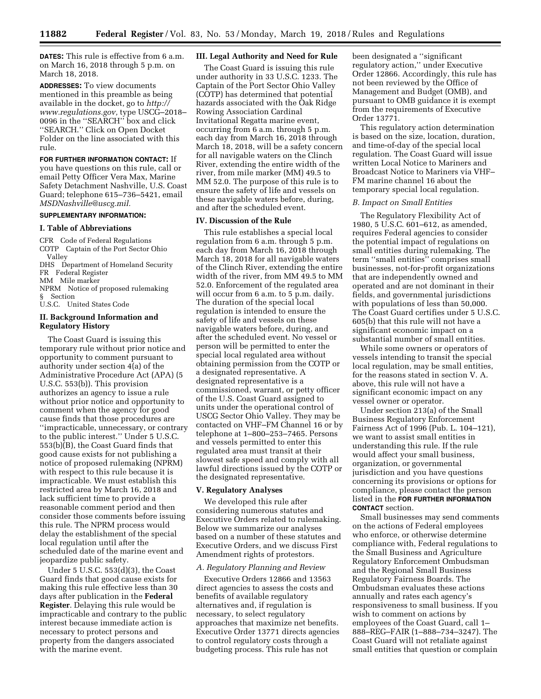**DATES:** This rule is effective from 6 a.m. on March 16, 2018 through 5 p.m. on March 18, 2018.

**ADDRESSES:** To view documents mentioned in this preamble as being available in the docket, go to *[http://](http://www.regulations.gov) [www.regulations.gov,](http://www.regulations.gov)* type USCG–2018– 0096 in the ''SEARCH'' box and click ''SEARCH.'' Click on Open Docket Folder on the line associated with this rule.

**FOR FURTHER INFORMATION CONTACT:** If you have questions on this rule, call or email Petty Officer Vera Max, Marine Safety Detachment Nashville, U.S. Coast Guard; telephone 615–736–5421, email *[MSDNashville@uscg.mil.](mailto:MSDNashville@uscg.mil)* 

# **SUPPLEMENTARY INFORMATION:**

#### **I. Table of Abbreviations**

CFR Code of Federal Regulations COTP Captain of the Port Sector Ohio Valley

DHS Department of Homeland Security

FR Federal Register

MM Mile marker

NPRM Notice of proposed rulemaking

§ Section

U.S.C. United States Code

### **II. Background Information and Regulatory History**

The Coast Guard is issuing this temporary rule without prior notice and opportunity to comment pursuant to authority under section 4(a) of the Administrative Procedure Act (APA) (5 U.S.C. 553(b)). This provision authorizes an agency to issue a rule without prior notice and opportunity to comment when the agency for good cause finds that those procedures are ''impracticable, unnecessary, or contrary to the public interest.'' Under 5 U.S.C.  $553(b)$ <sup>[B]</sup>, the Coast Guard finds that good cause exists for not publishing a notice of proposed rulemaking (NPRM) with respect to this rule because it is impracticable. We must establish this restricted area by March 16, 2018 and lack sufficient time to provide a reasonable comment period and then consider those comments before issuing this rule. The NPRM process would delay the establishment of the special local regulation until after the scheduled date of the marine event and jeopardize public safety.

Under 5 U.S.C. 553(d)(3), the Coast Guard finds that good cause exists for making this rule effective less than 30 days after publication in the **Federal Register**. Delaying this rule would be impracticable and contrary to the public interest because immediate action is necessary to protect persons and property from the dangers associated with the marine event.

#### **III. Legal Authority and Need for Rule**

The Coast Guard is issuing this rule under authority in 33 U.S.C. 1233. The Captain of the Port Sector Ohio Valley (COTP) has determined that potential hazards associated with the Oak Ridge Rowing Association Cardinal Invitational Regatta marine event, occurring from 6 a.m. through 5 p.m. each day from March 16, 2018 through March 18, 2018, will be a safety concern for all navigable waters on the Clinch River, extending the entire width of the river, from mile marker (MM) 49.5 to MM 52.0. The purpose of this rule is to ensure the safety of life and vessels on these navigable waters before, during, and after the scheduled event.

#### **IV. Discussion of the Rule**

This rule establishes a special local regulation from 6 a.m. through 5 p.m. each day from March 16, 2018 through March 18, 2018 for all navigable waters of the Clinch River, extending the entire width of the river, from MM 49.5 to MM 52.0. Enforcement of the regulated area will occur from 6 a.m. to 5 p.m. daily. The duration of the special local regulation is intended to ensure the safety of life and vessels on these navigable waters before, during, and after the scheduled event. No vessel or person will be permitted to enter the special local regulated area without obtaining permission from the COTP or a designated representative. A designated representative is a commissioned, warrant, or petty officer of the U.S. Coast Guard assigned to units under the operational control of USCG Sector Ohio Valley. They may be contacted on VHF–FM Channel 16 or by telephone at 1–800–253–7465. Persons and vessels permitted to enter this regulated area must transit at their slowest safe speed and comply with all lawful directions issued by the COTP or the designated representative.

#### **V. Regulatory Analyses**

We developed this rule after considering numerous statutes and Executive Orders related to rulemaking. Below we summarize our analyses based on a number of these statutes and Executive Orders, and we discuss First Amendment rights of protestors.

#### *A. Regulatory Planning and Review*

Executive Orders 12866 and 13563 direct agencies to assess the costs and benefits of available regulatory alternatives and, if regulation is necessary, to select regulatory approaches that maximize net benefits. Executive Order 13771 directs agencies to control regulatory costs through a budgeting process. This rule has not

been designated a ''significant regulatory action,'' under Executive Order 12866. Accordingly, this rule has not been reviewed by the Office of Management and Budget (OMB), and pursuant to OMB guidance it is exempt from the requirements of Executive Order 13771.

This regulatory action determination is based on the size, location, duration, and time-of-day of the special local regulation. The Coast Guard will issue written Local Notice to Mariners and Broadcast Notice to Mariners via VHF– FM marine channel 16 about the temporary special local regulation.

#### *B. Impact on Small Entities*

The Regulatory Flexibility Act of 1980, 5 U.S.C. 601–612, as amended, requires Federal agencies to consider the potential impact of regulations on small entities during rulemaking. The term ''small entities'' comprises small businesses, not-for-profit organizations that are independently owned and operated and are not dominant in their fields, and governmental jurisdictions with populations of less than 50,000. The Coast Guard certifies under 5 U.S.C. 605(b) that this rule will not have a significant economic impact on a substantial number of small entities.

While some owners or operators of vessels intending to transit the special local regulation, may be small entities, for the reasons stated in section V. A. above, this rule will not have a significant economic impact on any vessel owner or operator.

Under section 213(a) of the Small Business Regulatory Enforcement Fairness Act of 1996 (Pub. L. 104–121), we want to assist small entities in understanding this rule. If the rule would affect your small business, organization, or governmental jurisdiction and you have questions concerning its provisions or options for compliance, please contact the person listed in the **FOR FURTHER INFORMATION CONTACT** section.

Small businesses may send comments on the actions of Federal employees who enforce, or otherwise determine compliance with, Federal regulations to the Small Business and Agriculture Regulatory Enforcement Ombudsman and the Regional Small Business Regulatory Fairness Boards. The Ombudsman evaluates these actions annually and rates each agency's responsiveness to small business. If you wish to comment on actions by employees of the Coast Guard, call 1– 888–REG–FAIR (1–888–734–3247). The Coast Guard will not retaliate against small entities that question or complain